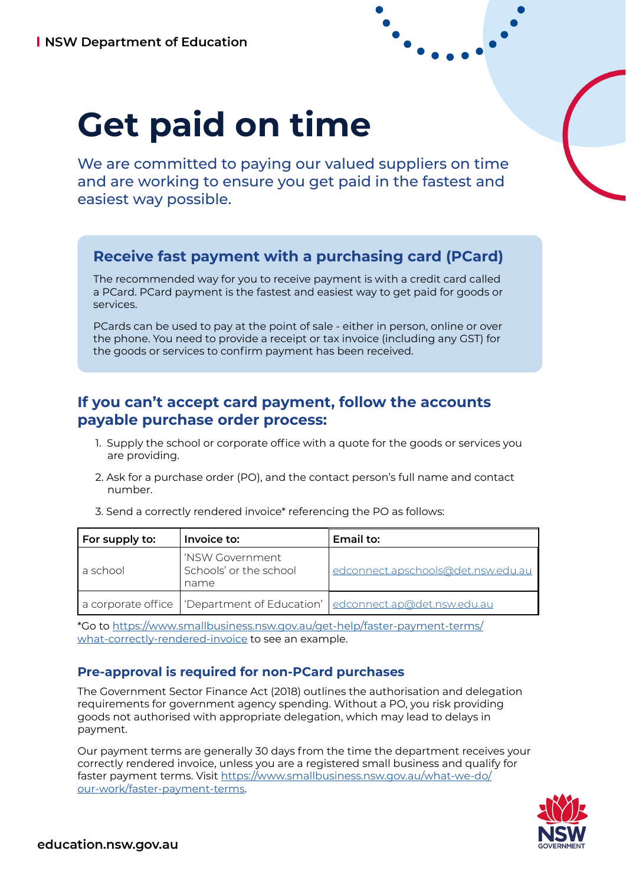# **Get paid on time**

We are committed to paying our valued suppliers on time and are working to ensure you get paid in the fastest and easiest way possible.

# **Receive fast payment with a purchasing card (PCard)**

The recommended way for you to receive payment is with a credit card called a PCard. PCard payment is the fastest and easiest way to get paid for goods or services.

PCards can be used to pay at the point of sale - either in person, online or over the phone. You need to provide a receipt or tax invoice (including any GST) for the goods or services to confirm payment has been received.

## **If you can't accept card payment, follow the accounts payable purchase order process:**

- 1. Supply the school or corporate office with a quote for the goods or services you are providing.
- 2. Ask for a purchase order (PO), and the contact person's full name and contact number.

| For supply to: | Invoice to:                                       | Email to:                                                                    |
|----------------|---------------------------------------------------|------------------------------------------------------------------------------|
| a school       | 'NSW Government<br>Schools' or the school<br>name | edconnect.apschools@det.nsw.edu.au                                           |
|                |                                                   | a corporate office   'Department of Education'   edconnect.ap@det.nsw.edu.au |

3. Send a correctly rendered invoice\* referencing the PO as follows:

\*Go to [https://www.smallbusiness.nsw.gov.au/get-help/faster-payment-terms/](https://www.smallbusiness.nsw.gov.au/get-help/faster-payment-terms/what-correctly-rendered-invoice) [what-correctly-rendered-invoice](https://www.smallbusiness.nsw.gov.au/get-help/faster-payment-terms/what-correctly-rendered-invoice) to see an example.

#### **Pre-approval is required for non-PCard purchases**

The Government Sector Finance Act (2018) outlines the authorisation and delegation requirements for government agency spending. Without a PO, you risk providing goods not authorised with appropriate delegation, which may lead to delays in payment.

Our payment terms are generally 30 days from the time the department receives your correctly rendered invoice, unless you are a registered small business and qualify for faster payment terms. Visit [https://www.smallbusiness.nsw.gov.au/what-we-do/](https://www.smallbusiness.nsw.gov.au/what-we-do/our-work/faster-payment-terms) [our-work/faster-payment-terms.](https://www.smallbusiness.nsw.gov.au/what-we-do/our-work/faster-payment-terms)